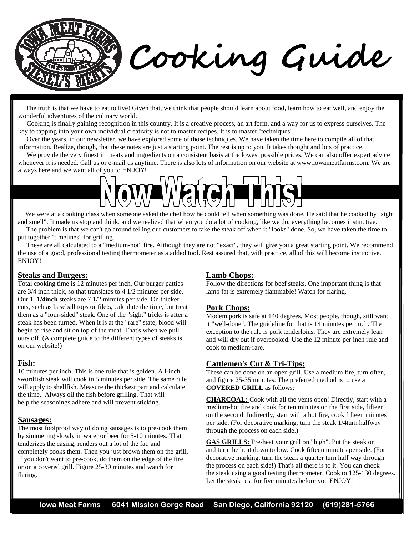

 The truth is that we have to eat to live! Given that, we think that people should learn about food, learn how to eat well, and enjoy the wonderful adventures of the culinary world.

 Cooking is finally gaining recognition in this country. It is a creative process, an art form, and a way for us to express ourselves. The key to tapping into your own individual creativity is not to master recipes. It is to master ''techniques''.

 Over the years, in our newsletter, we have explored some of those techniques. We have taken the time here to compile all of that information. Realize, though, that these notes are just a starting point. The rest is up to you. It takes thought and lots of practice.

We provide the very finest in meats and ingredients on a consistent basis at the lowest possible prices. We can also offer expert advice whenever it is needed. Call us or e-mail us anytime. There is also lots of information on our website at www.iowameatfarms.com. We are always here and we want all of you to ENJOY!

We were at a cooking class when someone asked the chef how he could tell when something was done. He said that he cooked by "sight" and smell". It made us stop and think. and we realized that when you do a lot of cooking, like we do, everything becomes instinctive. The problem is that we can't go around telling our customers to take the steak off when it "looks" done. So, we have taken the time to

put together ''timelines'' for grilling. These are all calculated to a "medium-hot" fire. Although they are not "exact", they will give you a great starting point. We recommend the use of a good, professional testing thermometer as a added tool. Rest assured that, with practice, all of this will become instinctive. ENJOY!

### **Steaks and Burgers:**

Total cooking time is 12 minutes per inch. Our burger patties are 3/4 inch thick, so that translates to 4 1/2 minutes per side. Our 1 **1/4inch** steaks are 7 1/2 minutes per side. On thicker cuts, such as baseball tops or filets, calculate the time, but treat them as a "four-sided" steak. One of the "sight" tricks is after a steak has been turned. When it is at the "rare" state, blood will begin to rise and sit on top of the meat. That's when we pull ours off. (A complete guide to the different types of steaks is on our website!)

### **Fish:**

10 minutes per inch. This is one rule that is golden. A l-inch swordfish steak will cook in 5 minutes per side. The same rule will apply to shellfish. Measure the thickest part and calculate the time. Always oil the fish before grilling. That will help the seasonings adhere and will prevent sticking.

### **Sausages:**

The most foolproof way of doing sausages is to pre-cook them by simmering slowly in water or beer for 5-10 minutes. That tenderizes the casing, renders out a lot of the fat, and completely cooks them. Then you just brown them on the grill. If you don't want to pre-cook, do them on the edge of the fire or on a covered grill. Figure 25-30 minutes and watch for flaring.

### **Lamb Chops:**

Follow the directions for beef steaks. One important thing is that lamb fat is extremely flammable! Watch for flaring.

#### **Pork Chops:**

Modem pork is safe at 140 degrees. Most people, though, still want it "well-done". The guideline for that is 14 minutes per inch. The exception to the rule is pork tenderloins. They are extremely lean and will dry out if overcooked. Use the 12 minute per inch rule and cook to medium-rare.

### **Cattlemen's Cut & Tri-Tips:**

These can be done on an open grill. Use a medium fire, turn often, and figure 25-35 minutes. The preferred method is to use a **COVERED GRILL** as follows:

**CHARCOAL:** Cook with all the vents open! Directly, start with a medium-hot fire and cook for ten minutes on the first side, fifteen on the second. Indirectly, start with a hot fire, cook fifteen minutes per side. (For decorative marking, turn the steak 1/4turn halfway through the process on each side.)

GAS GRILLS: Pre-heat your grill on "high". Put the steak on and turn the heat down to low. Cook fifteen minutes per side. (For decorative marking, turn the steak a quarter turn half way through the process on each side!) That's all there is to it. You can check the steak using a good testing thermometer. Cook to 125-130 degrees. Let the steak rest for five minutes before you ENJOY!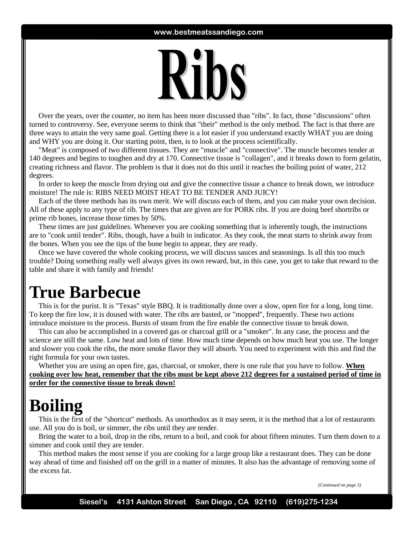

 Over the years, over the counter, no item has been more discussed than "ribs". In fact, those "discussions" often turned to controversy. See, everyone seems to think that "their" method is the only method. The fact is that there are three ways to attain the very same goal. Getting there is a lot easier if you understand exactly WHAT you are doing and WHY you are doing it. Our starting point, then, is to look at the process scientifically.

 "Meat" is composed of two different tissues. They are "muscle" and "connective". The muscle becomes tender at 140 degrees and begins to toughen and dry at 170. Connective tissue is "collagen", and it breaks down to form gelatin, creating richness and flavor. The problem is that it does not do this until it reaches the boiling point of water, 212 degrees.

 In order to keep the muscle from drying out and give the connective tissue a chance to break down, we introduce moisture! The rule is: RIBS NEED MOIST HEAT TO BE TENDER AND JUICY!

 Each of the three methods has its own merit. We will discuss each of them, and you can make your own decision. All of these apply to any type of rib. The times that are given are for PORK ribs. If you are doing beef shortribs or prime rib bones, increase those times by 50%.

 These times are just guidelines. Whenever you are cooking something that is inherently tough, the instructions are to "cook until tender". Ribs, though, have a built in indicator. As they cook, the meat starts to shrink away from the bones. When you see the tips of the bone begin to appear, they are ready.

 Once we have covered the whole cooking process, we will discuss sauces and seasonings. Is all this too much trouble? Doing something really well always gives its own reward, but, in this case, you get to take that reward to the table and share it with family and friends!

### **True Barbecue**

 This is for the purist. It is "Texas" style BBQ. It is traditionally done over a slow, open fire for a long, long time. To keep the fire low, it is doused with water. The ribs are basted, or "mopped", frequently. These two actions introduce moisture to the process. Bursts of steam from the fire enable the connective tissue to break down.

 This can also be accomplished in a covered gas or charcoal grill or a "smoker". In any case, the process and the science are still the same. Low heat and lots of time. How much time depends on how much heat you use. The longer and slower you cook the ribs, the more smoke flavor they will absorb. You need to experiment with this and find the right formula for your own tastes.

 Whether you are using an open fire, gas, charcoal, or smoker, there is one rule that you have to follow. **When cooking over low heat, remember that the ribs must be kept above 212 degrees for a sustained period of time in order for the connective tissue to break down!**

## **Boiling**

 This is the first of the "shortcut" methods. As unorthodox as it may seem, it is the method that a lot of restaurants use. All you do is boil, or simmer, the ribs until they are tender.

 Bring the water to a boil, drop in the ribs, return to a boil, and cook for about fifteen minutes. Turn them down to a simmer and cook until they are tender.

 This method makes the most sense if you are cooking for a large group like a restaurant does. They can be done way ahead of time and finished off on the grill in a matter of minutes. It also has the advantage of removing some of the excess fat.

*(Continued on page 3)*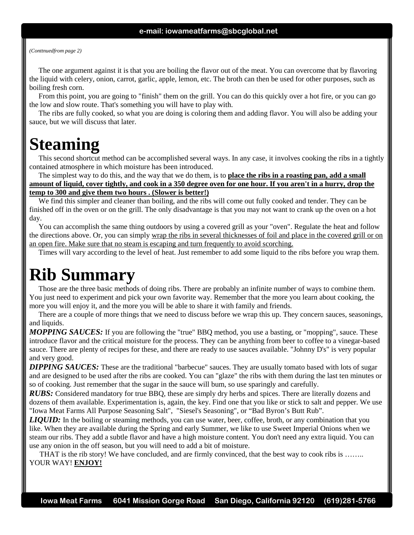#### *(Conttnuedfrom page 2)*

 The one argument against it is that you are boiling the flavor out of the meat. You can overcome that by flavoring the liquid with celery, onion, carrot, garlic, apple, lemon, etc. The broth can then be used for other purposes, such as boiling fresh corn.

 From this point, you are going to "finish" them on the grill. You can do this quickly over a hot fire, or you can go the low and slow route. That's something you will have to play with.

 The ribs are fully cooked, so what you are doing is coloring them and adding flavor. You will also be adding your sauce, but we will discuss that later.

### **Steaming**

 This second shortcut method can be accomplished several ways. In any case, it involves cooking the ribs in a tightly contained atmosphere in which moisture has been introduced.

 The simplest way to do this, and the way that we do them, is to **place the ribs in a roasting pan, add a small amount of liquid, cover tightly, and cook in a 350 degree oven for one hour. If you aren't in a hurry, drop the temp to 300 and give them two hours . (Slower is better!)**

 We find this simpler and cleaner than boiling, and the ribs will come out fully cooked and tender. They can be finished off in the oven or on the grill. The only disadvantage is that you may not want to crank up the oven on a hot day.

 You can accomplish the same thing outdoors by using a covered grill as your "oven". Regulate the heat and follow the directions above. Or, you can simply wrap the ribs in several thicknesses of foil and place in the covered grill or on an open fire. Make sure that no steam is escaping and turn frequently to avoid scorching.

Times will vary according to the level of heat. Just remember to add some liquid to the ribs before you wrap them.

### **Rib Summary**

 Those are the three basic methods of doing ribs. There are probably an infinite number of ways to combine them. You just need to experiment and pick your own favorite way. Remember that the more you learn about cooking, the more you will enjoy it, and the more you will be able to share it with family and friends.

 There are a couple of more things that we need to discuss before we wrap this up. They concern sauces, seasonings, and liquids.

*MOPPING SAUCES:* If you are following the "true" BBQ method, you use a basting, or "mopping", sauce. These introduce flavor and the critical moisture for the process. They can be anything from beer to coffee to a vinegar-based sauce. There are plenty of recipes for these, and there are ready to use sauces available. "Johnny D's" is very popular and very good.

*DIPPING SAUCES:* These are the traditional "barbecue" sauces. They are usually tomato based with lots of sugar and are designed to be used after the ribs are cooked. You can "glaze" the ribs with them during the last ten minutes or so of cooking. Just remember that the sugar in the sauce will bum, so use sparingly and carefully.

*RUBS:* Considered mandatory for true BBQ, these are simply dry herbs and spices. There are literally dozens and dozens of them available. Experimentation is, again, the key. Find one that you like or stick to salt and pepper. We use "Iowa Meat Farms All Purpose Seasoning Salt", "Siesel's Seasoning", or "Bad Byron's Butt Rub".

*LIQUID:* In the boiling or steaming methods, you can use water, beer, coffee, broth, or any combination that you like. When they are available during the Spring and early Summer, we like to use Sweet Imperial Onions when we steam our ribs. They add a subtle flavor and have a high moisture content. You don't need any extra liquid. You can use any onion in the off season, but you will need to add a bit of moisture.

 THAT is the rib story! We have concluded, and are firmly convinced, that the best way to cook ribs is …….. YOUR WAY! **ENJOY!**